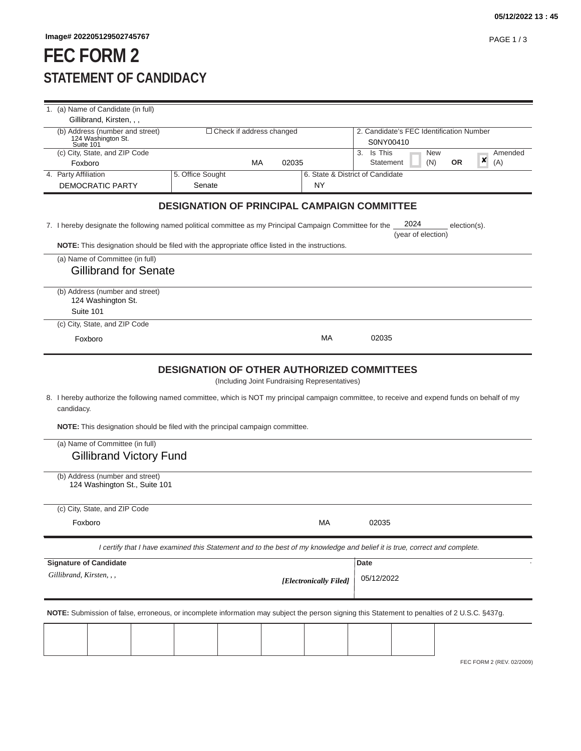## **FEC FORM 2 STATEMENT OF CANDIDACY**

| 1. (a) Name of Candidate (in full)                                                                                                                                                                                                   |                                                                                                                                               |       |                                               |                                                                                                                                                |  |  |
|--------------------------------------------------------------------------------------------------------------------------------------------------------------------------------------------------------------------------------------|-----------------------------------------------------------------------------------------------------------------------------------------------|-------|-----------------------------------------------|------------------------------------------------------------------------------------------------------------------------------------------------|--|--|
| Gillibrand, Kirsten, , ,                                                                                                                                                                                                             |                                                                                                                                               |       |                                               |                                                                                                                                                |  |  |
| (b) Address (number and street)<br>124 Washington St.<br>Suite 101                                                                                                                                                                   | $\Box$ Check if address changed                                                                                                               |       |                                               | 2. Candidate's FEC Identification Number<br>S0NY00410                                                                                          |  |  |
| (c) City, State, and ZIP Code                                                                                                                                                                                                        |                                                                                                                                               |       |                                               | Is This<br><b>New</b><br>Amended<br>3.                                                                                                         |  |  |
| Foxboro                                                                                                                                                                                                                              | МA                                                                                                                                            | 02035 |                                               | ×<br>(N)<br><b>OR</b><br>(A)<br>Statement                                                                                                      |  |  |
| 4. Party Affiliation                                                                                                                                                                                                                 | 5. Office Sought                                                                                                                              |       |                                               | 6. State & District of Candidate                                                                                                               |  |  |
| DEMOCRATIC PARTY                                                                                                                                                                                                                     | Senate                                                                                                                                        |       | NY                                            |                                                                                                                                                |  |  |
|                                                                                                                                                                                                                                      | <b>DESIGNATION OF PRINCIPAL CAMPAIGN COMMITTEE</b>                                                                                            |       |                                               |                                                                                                                                                |  |  |
| 7. I hereby designate the following named political committee as my Principal Campaign Committee for the                                                                                                                             |                                                                                                                                               |       |                                               | 2024<br>$election(s)$ .<br>(year of election)                                                                                                  |  |  |
| <b>NOTE:</b> This designation should be filed with the appropriate office listed in the instructions.                                                                                                                                |                                                                                                                                               |       |                                               |                                                                                                                                                |  |  |
| (a) Name of Committee (in full)                                                                                                                                                                                                      |                                                                                                                                               |       |                                               |                                                                                                                                                |  |  |
| <b>Gillibrand for Senate</b>                                                                                                                                                                                                         |                                                                                                                                               |       |                                               |                                                                                                                                                |  |  |
|                                                                                                                                                                                                                                      |                                                                                                                                               |       |                                               |                                                                                                                                                |  |  |
| (b) Address (number and street)                                                                                                                                                                                                      |                                                                                                                                               |       |                                               |                                                                                                                                                |  |  |
| 124 Washington St.                                                                                                                                                                                                                   |                                                                                                                                               |       |                                               |                                                                                                                                                |  |  |
| Suite 101                                                                                                                                                                                                                            |                                                                                                                                               |       |                                               |                                                                                                                                                |  |  |
| (c) City, State, and ZIP Code                                                                                                                                                                                                        |                                                                                                                                               |       |                                               |                                                                                                                                                |  |  |
| Foxboro                                                                                                                                                                                                                              |                                                                                                                                               |       | МA                                            | 02035                                                                                                                                          |  |  |
|                                                                                                                                                                                                                                      |                                                                                                                                               |       |                                               |                                                                                                                                                |  |  |
| candidacy.<br>NOTE: This designation should be filed with the principal campaign committee.<br>(a) Name of Committee (in full)<br><b>Gillibrand Victory Fund</b><br>(b) Address (number and street)<br>124 Washington St., Suite 101 |                                                                                                                                               |       | (Including Joint Fundraising Representatives) | 8. I hereby authorize the following named committee, which is NOT my principal campaign committee, to receive and expend funds on behalf of my |  |  |
| (c) City, State, and ZIP Code                                                                                                                                                                                                        |                                                                                                                                               |       |                                               |                                                                                                                                                |  |  |
| Foxboro                                                                                                                                                                                                                              |                                                                                                                                               |       | МA                                            | 02035                                                                                                                                          |  |  |
|                                                                                                                                                                                                                                      |                                                                                                                                               |       |                                               |                                                                                                                                                |  |  |
|                                                                                                                                                                                                                                      |                                                                                                                                               |       |                                               | I certify that I have examined this Statement and to the best of my knowledge and belief it is true, correct and complete.                     |  |  |
| <b>Signature of Candidate</b>                                                                                                                                                                                                        |                                                                                                                                               |       |                                               | Date                                                                                                                                           |  |  |
| Gillibrand, Kirsten, , ,                                                                                                                                                                                                             |                                                                                                                                               |       | [Electronically Filed]                        | 05/12/2022                                                                                                                                     |  |  |
|                                                                                                                                                                                                                                      | NOTE: Submission of false, erroneous, or incomplete information may subject the person signing this Statement to penalties of 2 U.S.C. §437g. |       |                                               |                                                                                                                                                |  |  |
|                                                                                                                                                                                                                                      |                                                                                                                                               |       |                                               |                                                                                                                                                |  |  |
|                                                                                                                                                                                                                                      |                                                                                                                                               |       |                                               |                                                                                                                                                |  |  |
|                                                                                                                                                                                                                                      |                                                                                                                                               |       |                                               |                                                                                                                                                |  |  |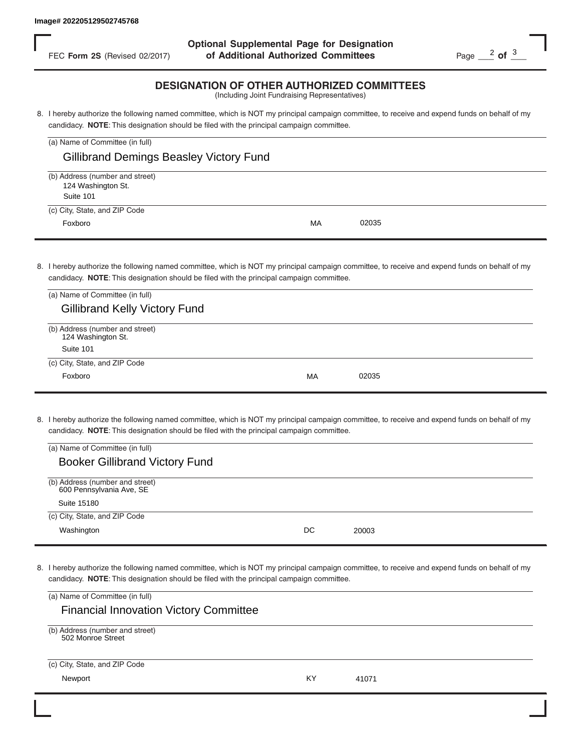FEC **Form 2S** (Revised 02/2017) **of Additional Authorized Committees** Page 2 of 3 **Optional Supplemental Page for Designation**

## **DESIGNATION OF OTHER AUTHORIZED COMMITTEES**

| (a) Name of Committee (in full)                                    |    |       |
|--------------------------------------------------------------------|----|-------|
| <b>Gillibrand Demings Beasley Victory Fund</b>                     |    |       |
| (b) Address (number and street)<br>124 Washington St.<br>Suite 101 |    |       |
| (c) City, State, and ZIP Code<br>Foxboro                           | MA | 02035 |

| FEC Form 2S (Revised 02/2017)                                                                       | of Additional Authorized Committees                                                                                                                                                                                                        | Page $\frac{2}{1}$ of $\frac{3}{1}$ |
|-----------------------------------------------------------------------------------------------------|--------------------------------------------------------------------------------------------------------------------------------------------------------------------------------------------------------------------------------------------|-------------------------------------|
|                                                                                                     | <b>DESIGNATION OF OTHER AUTHORIZED COMMITTEES</b><br>(Including Joint Fundraising Representatives)                                                                                                                                         |                                     |
|                                                                                                     | 8. I hereby authorize the following named committee, which is NOT my principal campaign committee, to receive and expend funds on behalf of my<br>candidacy. NOTE: This designation should be filed with the principal campaign committee. |                                     |
| (a) Name of Committee (in full)                                                                     |                                                                                                                                                                                                                                            |                                     |
| <b>Gillibrand Demings Beasley Victory Fund</b>                                                      |                                                                                                                                                                                                                                            |                                     |
| (b) Address (number and street)<br>124 Washington St.<br>Suite 101                                  |                                                                                                                                                                                                                                            |                                     |
| (c) City, State, and ZIP Code                                                                       |                                                                                                                                                                                                                                            |                                     |
| Foxboro                                                                                             | 02035<br>МA                                                                                                                                                                                                                                |                                     |
| (a) Name of Committee (in full)<br><b>Gillibrand Kelly Victory Fund</b>                             | 8. I hereby authorize the following named committee, which is NOT my principal campaign committee, to receive and expend funds on behalf of my<br>candidacy. NOTE: This designation should be filed with the principal campaign committee. |                                     |
| (b) Address (number and street)<br>124 Washington St.<br>Suite 101<br>(c) City, State, and ZIP Code |                                                                                                                                                                                                                                            |                                     |
| Foxboro                                                                                             | 02035<br>MA                                                                                                                                                                                                                                |                                     |
| (a) Name of Committee (in full)<br><b>Booker Gillibrand Victory Fund</b>                            | 8. I hereby authorize the following named committee, which is NOT my principal campaign committee, to receive and expend funds on behalf of my<br>candidacy. NOTE: This designation should be filed with the principal campaign committee. |                                     |
|                                                                                                     |                                                                                                                                                                                                                                            |                                     |
| (b) Address (number and street)<br>600 Pennsylvania Ave, SE                                         |                                                                                                                                                                                                                                            |                                     |
| Suite 15180                                                                                         |                                                                                                                                                                                                                                            |                                     |
| (c) City, State, and ZIP Code                                                                       |                                                                                                                                                                                                                                            |                                     |
| Washington                                                                                          | DC<br>20003                                                                                                                                                                                                                                |                                     |
| (a) Name of Committee (in full)<br><b>Financial Innovation Victory Committee</b>                    | 8. I hereby authorize the following named committee, which is NOT my principal campaign committee, to receive and expend funds on behalf of my<br>candidacy. NOTE: This designation should be filed with the principal campaign committee. |                                     |
| (b) Address (number and street)<br>502 Monroe Street                                                |                                                                                                                                                                                                                                            |                                     |
| (c) City, State, and ZIP Code                                                                       |                                                                                                                                                                                                                                            |                                     |
| Newport                                                                                             | KY<br>41071                                                                                                                                                                                                                                |                                     |

| (a) Name of Committee (in full)       |    |       |  |
|---------------------------------------|----|-------|--|
| <b>Booker Gillibrand Victory Fund</b> |    |       |  |
| (b) Address (number and street)       |    |       |  |
| 600 Pennsylvania Ave, SE              |    |       |  |
| Suite 15180                           |    |       |  |
| (c) City, State, and ZIP Code         |    |       |  |
| Washington                            | DC | 20003 |  |
|                                       |    |       |  |

| (a) Name of Committee (in full)                      |    |       |  |  |  |  |  |
|------------------------------------------------------|----|-------|--|--|--|--|--|
| <b>Financial Innovation Victory Committee</b>        |    |       |  |  |  |  |  |
| (b) Address (number and street)<br>502 Monroe Street |    |       |  |  |  |  |  |
| (c) City, State, and ZIP Code                        |    |       |  |  |  |  |  |
| Newport                                              | KY | 41071 |  |  |  |  |  |